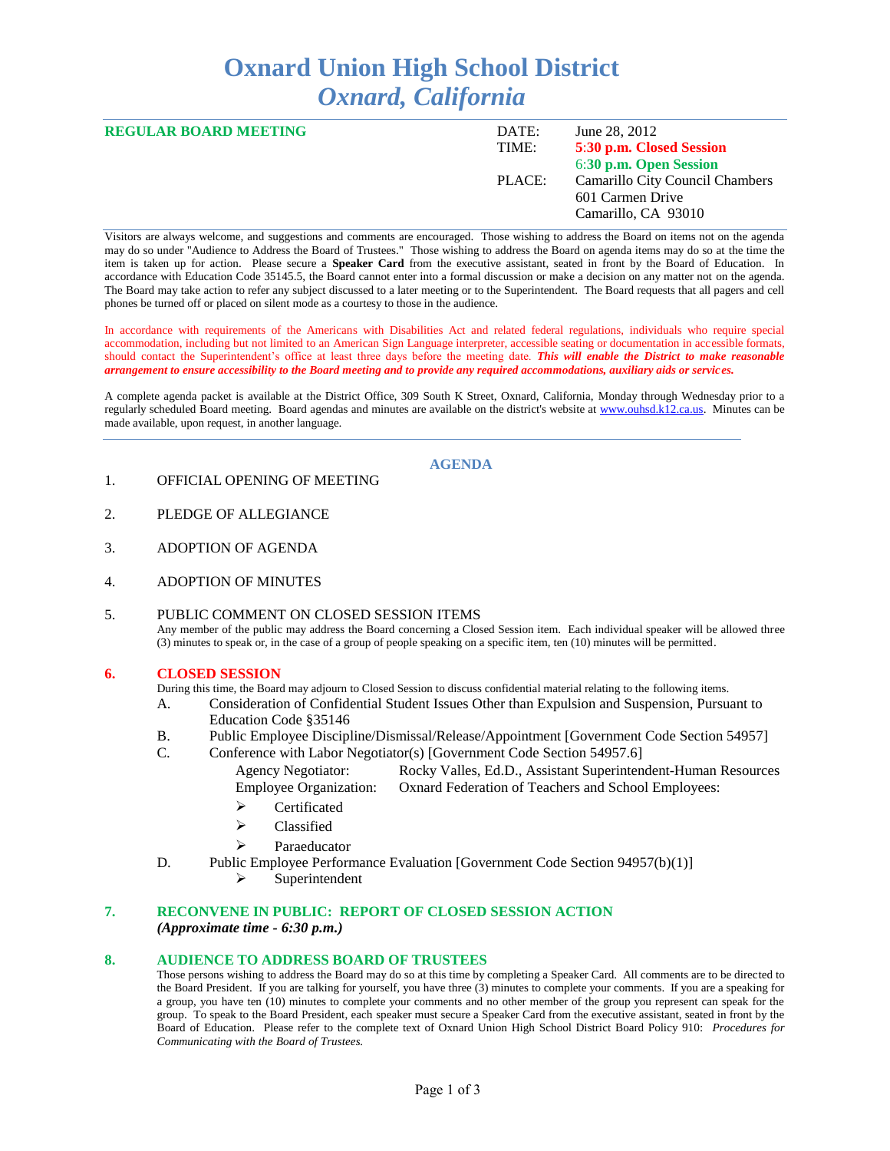# **Oxnard Union High School District** *Oxnard, California*

| <b>REGULAR BOARD MEETING</b> | DATE:<br>TIME: | June 28, 2012<br>5:30 p.m. Closed Session<br>6:30 p.m. Open Session        |
|------------------------------|----------------|----------------------------------------------------------------------------|
|                              | PLACE:         | Camarillo City Council Chambers<br>601 Carmen Drive<br>Camarillo, CA 93010 |

Visitors are always welcome, and suggestions and comments are encouraged. Those wishing to address the Board on items not on the agenda may do so under "Audience to Address the Board of Trustees." Those wishing to address the Board on agenda items may do so at the time the item is taken up for action. Please secure a **Speaker Card** from the executive assistant, seated in front by the Board of Education. In accordance with Education Code 35145.5, the Board cannot enter into a formal discussion or make a decision on any matter not on the agenda. The Board may take action to refer any subject discussed to a later meeting or to the Superintendent. The Board requests that all pagers and cell phones be turned off or placed on silent mode as a courtesy to those in the audience.

In accordance with requirements of the Americans with Disabilities Act and related federal regulations, individuals who require special accommodation, including but not limited to an American Sign Language interpreter, accessible seating or documentation in accessible formats, should contact the Superintendent's office at least three days before the meeting date. *This will enable the District to make reasonable arrangement to ensure accessibility to the Board meeting and to provide any required accommodations, auxiliary aids or services.* 

A complete agenda packet is available at the District Office, 309 South K Street, Oxnard, California, Monday through Wednesday prior to a regularly scheduled Board meeting. Board agendas and minutes are available on the district's website at [www.ouhsd.k12.ca.us.](http://www.ouhsd.k12.ca.us/) Minutes can be made available, upon request, in another language.

# **AGENDA**

- 1. OFFICIAL OPENING OF MEETING
- 2. PLEDGE OF ALLEGIANCE
- 3. ADOPTION OF AGENDA
- 4. ADOPTION OF MINUTES

#### 5. PUBLIC COMMENT ON CLOSED SESSION ITEMS

Any member of the public may address the Board concerning a Closed Session item. Each individual speaker will be allowed three (3) minutes to speak or, in the case of a group of people speaking on a specific item, ten (10) minutes will be permitted.

#### **6. CLOSED SESSION**

During this time, the Board may adjourn to Closed Session to discuss confidential material relating to the following items.

- A. Consideration of Confidential Student Issues Other than Expulsion and Suspension, Pursuant to Education Code §35146
- B. Public Employee Discipline/Dismissal/Release/Appointment [Government Code Section 54957]
- C. Conference with Labor Negotiator(s) [Government Code Section 54957.6]
	- Agency Negotiator: Rocky Valles, Ed.D., Assistant Superintendent-Human Resources Employee Organization: Oxnard Federation of Teachers and School Employees:
		- > Certificated
		- $\triangleright$  Classified
		- > Paraeducator
- D. Public Employee Performance Evaluation [Government Code Section 94957(b)(1)] Superintendent

# **7. RECONVENE IN PUBLIC: REPORT OF CLOSED SESSION ACTION** *(Approximate time - 6:30 p.m.)*

# **8. AUDIENCE TO ADDRESS BOARD OF TRUSTEES**

Those persons wishing to address the Board may do so at this time by completing a Speaker Card. All comments are to be directed to the Board President. If you are talking for yourself, you have three (3) minutes to complete your comments. If you are a speaking for a group, you have ten (10) minutes to complete your comments and no other member of the group you represent can speak for the group. To speak to the Board President, each speaker must secure a Speaker Card from the executive assistant, seated in front by the Board of Education. Please refer to the complete text of Oxnard Union High School District Board Policy 910: *Procedures for Communicating with the Board of Trustees.*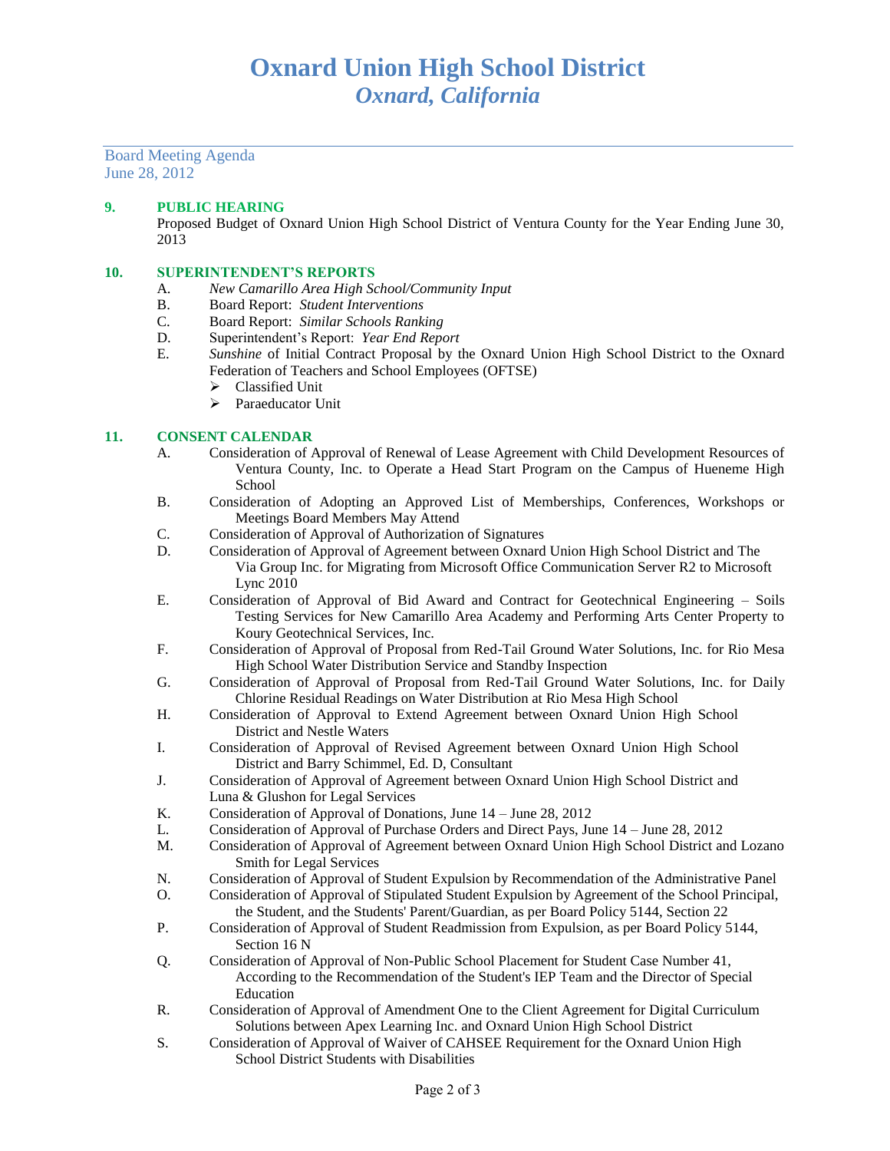Board Meeting Agenda June 28, 2012

## **9. PUBLIC HEARING**

Proposed Budget of Oxnard Union High School District of Ventura County for the Year Ending June 30, 2013

#### **10. SUPERINTENDENT'S REPORTS**

- A. *New Camarillo Area High School/Community Input*
- B. Board Report: *Student Interventions*
- C. Board Report: *Similar Schools Ranking*
- D. Superintendent's Report: *Year End Report*
- E. *Sunshine* of Initial Contract Proposal by the Oxnard Union High School District to the Oxnard Federation of Teachers and School Employees (OFTSE)
	- $\triangleright$  Classified Unit
	- $\triangleright$  Paraeducator Unit

#### **11. CONSENT CALENDAR**

- A. Consideration of Approval of Renewal of Lease Agreement with Child Development Resources of Ventura County, Inc. to Operate a Head Start Program on the Campus of Hueneme High School
- B. Consideration of Adopting an Approved List of Memberships, Conferences, Workshops or Meetings Board Members May Attend
- C. Consideration of Approval of Authorization of Signatures
- D. Consideration of Approval of Agreement between Oxnard Union High School District and The Via Group Inc. for Migrating from Microsoft Office Communication Server R2 to Microsoft Lync 2010
- E. Consideration of Approval of Bid Award and Contract for Geotechnical Engineering Soils Testing Services for New Camarillo Area Academy and Performing Arts Center Property to Koury Geotechnical Services, Inc.
- F. Consideration of Approval of Proposal from Red-Tail Ground Water Solutions, Inc. for Rio Mesa High School Water Distribution Service and Standby Inspection
- G. Consideration of Approval of Proposal from Red-Tail Ground Water Solutions, Inc. for Daily Chlorine Residual Readings on Water Distribution at Rio Mesa High School
- H. Consideration of Approval to Extend Agreement between Oxnard Union High School District and Nestle Waters
- I. Consideration of Approval of Revised Agreement between Oxnard Union High School District and Barry Schimmel, Ed. D, Consultant
- J. Consideration of Approval of Agreement between Oxnard Union High School District and Luna & Glushon for Legal Services
- K. Consideration of Approval of Donations, June 14 June 28, 2012
- L. Consideration of Approval of Purchase Orders and Direct Pays, June 14 June 28, 2012
- M. Consideration of Approval of Agreement between Oxnard Union High School District and Lozano Smith for Legal Services
- N. Consideration of Approval of Student Expulsion by Recommendation of the Administrative Panel
- O. Consideration of Approval of Stipulated Student Expulsion by Agreement of the School Principal, the Student, and the Students' Parent/Guardian, as per Board Policy 5144, Section 22
- P. Consideration of Approval of Student Readmission from Expulsion, as per Board Policy 5144, Section 16 N
- Q. Consideration of Approval of Non-Public School Placement for Student Case Number 41, According to the Recommendation of the Student's IEP Team and the Director of Special Education
- R. Consideration of Approval of Amendment One to the Client Agreement for Digital Curriculum Solutions between Apex Learning Inc. and Oxnard Union High School District
- S. Consideration of Approval of Waiver of CAHSEE Requirement for the Oxnard Union High School District Students with Disabilities